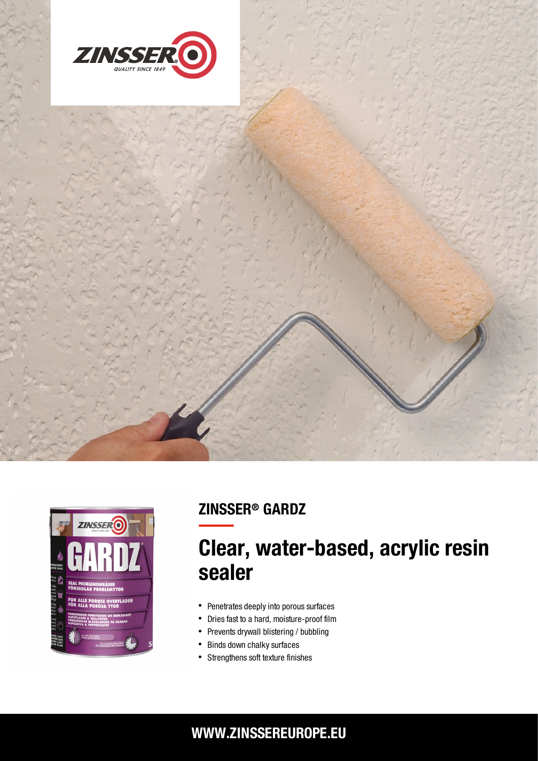





## ZINSSER® GARDZ

# Clear, water-based, acrylic resin sealer

- Penetrates deeply into porous surfaces
- Dries fast to a hard, moisture-proof film  $\bullet$
- $\bullet$ Prevents drywall blistering / bubbling
- $\bullet$ Binds down chalky surfaces
- Strengthens soft texture finishes

### WWW.ZINSSEREUROPE.EU